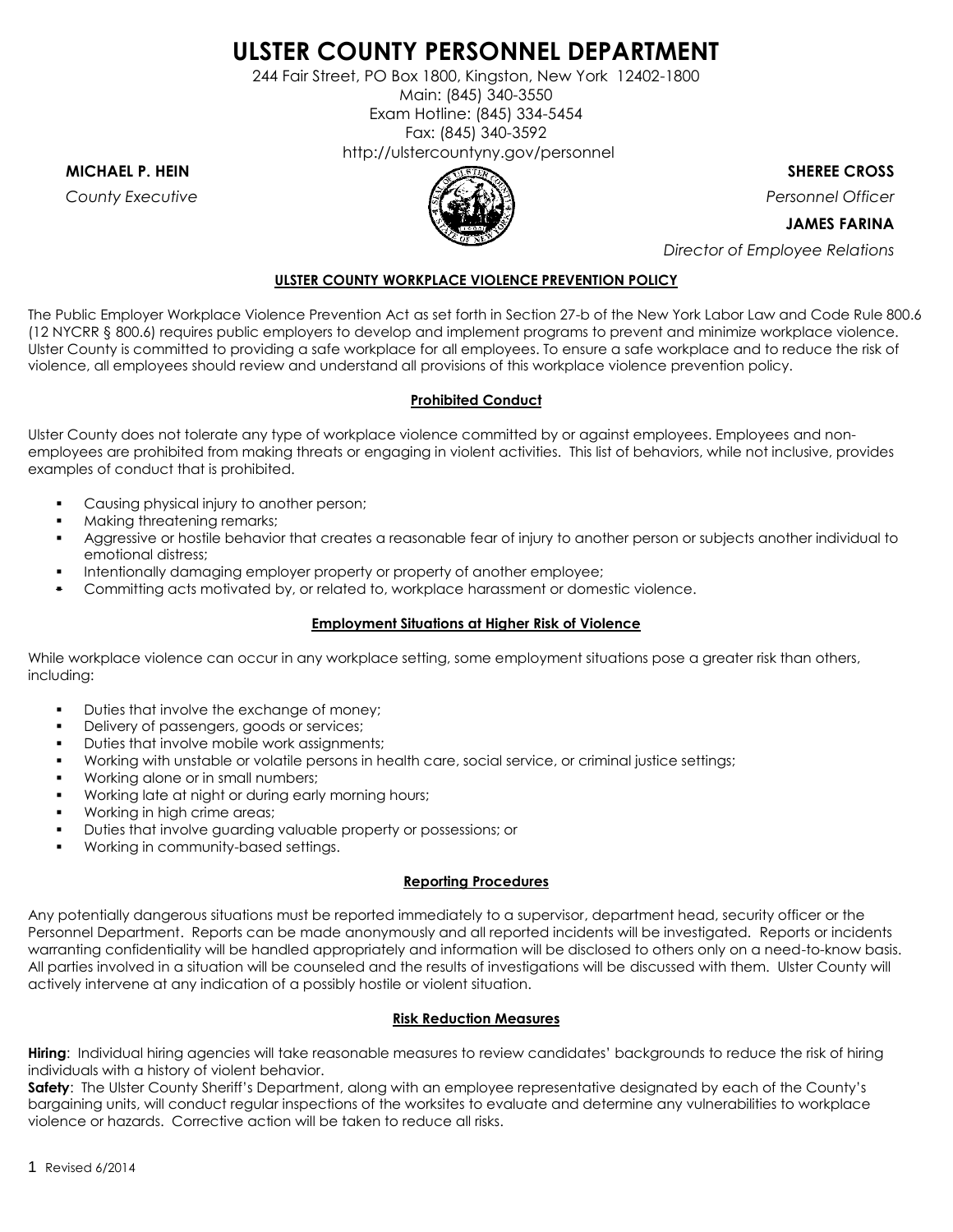# **ULSTER COUNTY PERSONNEL DEPARTMENT**

244 Fair Street, PO Box 1800, Kingston, New York 12402-1800 Main: (845) 340-3550 Exam Hotline: (845) 334-5454 Fax: (845) 340-3592 http://ulstercountyny.gov/personnel

**MICHAEL P. HEIN SHEREE CROSS**

*County Executive Personnel Officer*



**JAMES FARINA**

*Director of Employee Relations*

#### **ULSTER COUNTY WORKPLACE VIOLENCE PREVENTION POLICY**

The Public Employer Workplace Violence Prevention Act as set forth in Section 27-b of the New York Labor Law and Code Rule 800.6 (12 NYCRR § 800.6) requires public employers to develop and implement programs to prevent and minimize workplace violence. Ulster County is committed to providing a safe workplace for all employees. To ensure a safe workplace and to reduce the risk of violence, all employees should review and understand all provisions of this workplace violence prevention policy.

#### **Prohibited Conduct**

Ulster County does not tolerate any type of workplace violence committed by or against employees. Employees and nonemployees are prohibited from making threats or engaging in violent activities. This list of behaviors, while not inclusive, provides examples of conduct that is prohibited.

- **Causing physical injury to another person;**
- Making threatening remarks;
- Aggressive or hostile behavior that creates a reasonable fear of injury to another person or subjects another individual to emotional distress;
- Intentionally damaging employer property or property of another employee;
- Committing acts motivated by, or related to, workplace harassment or domestic violence.

#### **Employment Situations at Higher Risk of Violence**

While workplace violence can occur in any workplace setting, some employment situations pose a greater risk than others, including:

- Duties that involve the exchange of money;
- Delivery of passengers, goods or services;
- Duties that involve mobile work assignments;
- Working with unstable or volatile persons in health care, social service, or criminal justice settings;
- Working alone or in small numbers;
- Working late at night or during early morning hours;
- Working in high crime areas;
- Duties that involve guarding valuable property or possessions; or
- Working in community-based settings.

#### **Reporting Procedures**

Any potentially dangerous situations must be reported immediately to a supervisor, department head, security officer or the Personnel Department. Reports can be made anonymously and all reported incidents will be investigated. Reports or incidents warranting confidentiality will be handled appropriately and information will be disclosed to others only on a need-to-know basis. All parties involved in a situation will be counseled and the results of investigations will be discussed with them. Ulster County will actively intervene at any indication of a possibly hostile or violent situation.

#### **Risk Reduction Measures**

**Hiring**: Individual hiring agencies will take reasonable measures to review candidates' backgrounds to reduce the risk of hiring individuals with a history of violent behavior.

**Safety**: The Ulster County Sheriff's Department, along with an employee representative designated by each of the County's bargaining units, will conduct regular inspections of the worksites to evaluate and determine any vulnerabilities to workplace violence or hazards. Corrective action will be taken to reduce all risks.